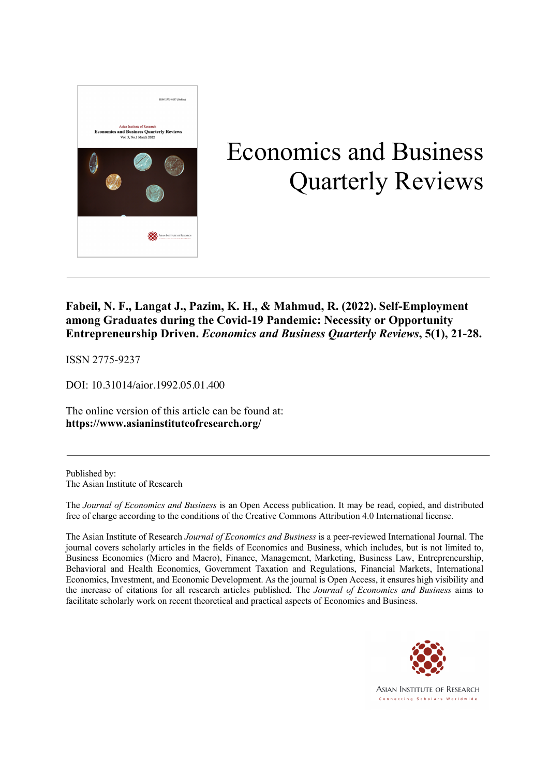

# Economics and Business Quarterly Reviews

# **Fabeil, N. F., Langat J., Pazim, K. H., & Mahmud, R. (2022). Self-Employment among Graduates during the Covid-19 Pandemic: Necessity or Opportunity Entrepreneurship Driven.** *Economics and Business Quarterly Reviews***, 5(1), 21-28.**

ISSN 2775-9237

DOI: 10.31014/aior.1992.05.01.400

The online version of this article can be found at: **https://www.asianinstituteofresearch.org/**

Published by: The Asian Institute of Research

The *Journal of Economics and Business* is an Open Access publication. It may be read, copied, and distributed free of charge according to the conditions of the Creative Commons Attribution 4.0 International license.

The Asian Institute of Research *Journal of Economics and Business* is a peer-reviewed International Journal. The journal covers scholarly articles in the fields of Economics and Business, which includes, but is not limited to, Business Economics (Micro and Macro), Finance, Management, Marketing, Business Law, Entrepreneurship, Behavioral and Health Economics, Government Taxation and Regulations, Financial Markets, International Economics, Investment, and Economic Development. As the journal is Open Access, it ensures high visibility and the increase of citations for all research articles published. The *Journal of Economics and Business* aims to facilitate scholarly work on recent theoretical and practical aspects of Economics and Business.



ASIAN INSTITUTE OF RESEARCH Connecting Scholars Worldwide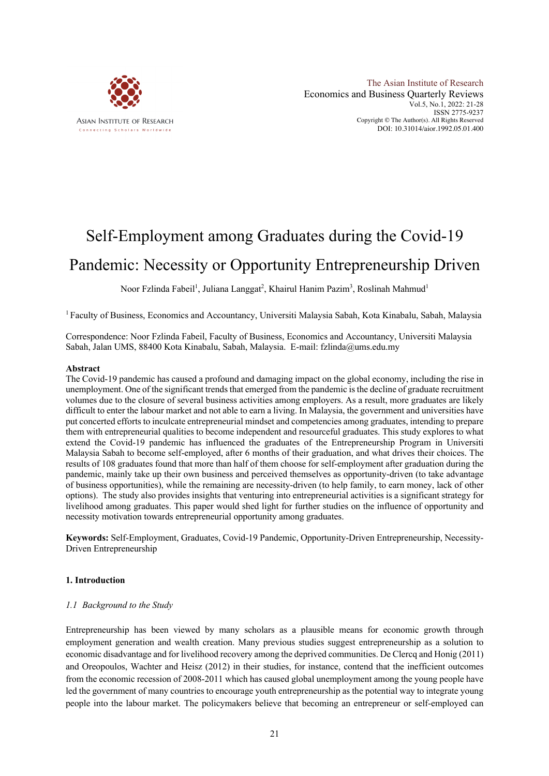

The Asian Institute of Research Economics and Business Quarterly Reviews Vol.5, No.1, 2022: 21-28 ISSN 2775-9237 Copyright © The Author(s). All Rights Reserved DOI: 10.31014/aior.1992.05.01.400

# Self-Employment among Graduates during the Covid-19 Pandemic: Necessity or Opportunity Entrepreneurship Driven

Noor Fzlinda Fabeil<sup>1</sup>, Juliana Langgat<sup>2</sup>, Khairul Hanim Pazim<sup>3</sup>, Roslinah Mahmud<sup>1</sup>

<sup>1</sup> Faculty of Business, Economics and Accountancy, Universiti Malaysia Sabah, Kota Kinabalu, Sabah, Malaysia

Correspondence: Noor Fzlinda Fabeil, Faculty of Business, Economics and Accountancy, Universiti Malaysia Sabah, Jalan UMS, 88400 Kota Kinabalu, Sabah, Malaysia. E-mail: fzlinda@ums.edu.my

#### **Abstract**

The Covid-19 pandemic has caused a profound and damaging impact on the global economy, including the rise in unemployment. One of the significant trends that emerged from the pandemic is the decline of graduate recruitment volumes due to the closure of several business activities among employers. As a result, more graduates are likely difficult to enter the labour market and not able to earn a living. In Malaysia, the government and universities have put concerted efforts to inculcate entrepreneurial mindset and competencies among graduates, intending to prepare them with entrepreneurial qualities to become independent and resourceful graduates. This study explores to what extend the Covid-19 pandemic has influenced the graduates of the Entrepreneurship Program in Universiti Malaysia Sabah to become self-employed, after 6 months of their graduation, and what drives their choices. The results of 108 graduates found that more than half of them choose for self-employment after graduation during the pandemic, mainly take up their own business and perceived themselves as opportunity-driven (to take advantage of business opportunities), while the remaining are necessity-driven (to help family, to earn money, lack of other options). The study also provides insights that venturing into entrepreneurial activities is a significant strategy for livelihood among graduates. This paper would shed light for further studies on the influence of opportunity and necessity motivation towards entrepreneurial opportunity among graduates.

**Keywords:** Self-Employment, Graduates, Covid-19 Pandemic, Opportunity-Driven Entrepreneurship, Necessity-Driven Entrepreneurship

#### **1. Introduction**

#### *1.1 Background to the Study*

Entrepreneurship has been viewed by many scholars as a plausible means for economic growth through employment generation and wealth creation. Many previous studies suggest entrepreneurship as a solution to economic disadvantage and for livelihood recovery among the deprived communities. De Clercq and Honig (2011) and Oreopoulos, Wachter and Heisz (2012) in their studies, for instance, contend that the inefficient outcomes from the economic recession of 2008-2011 which has caused global unemployment among the young people have led the government of many countries to encourage youth entrepreneurship as the potential way to integrate young people into the labour market. The policymakers believe that becoming an entrepreneur or self-employed can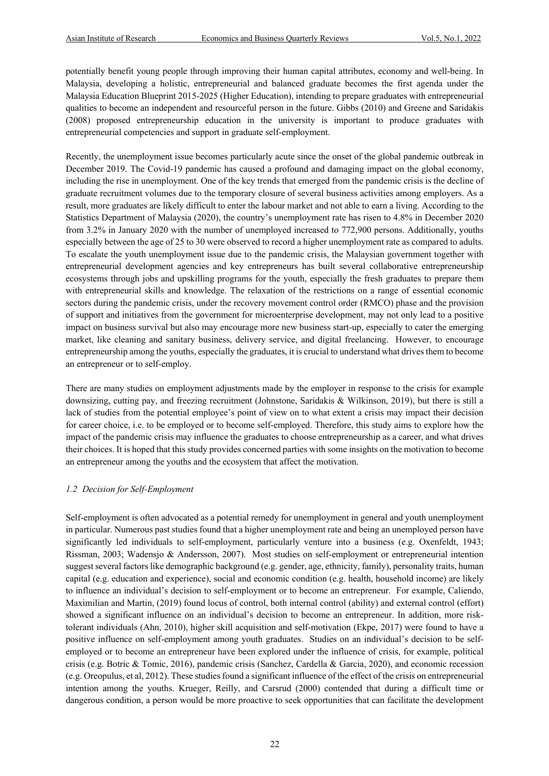potentially benefit young people through improving their human capital attributes, economy and well-being. In Malaysia, developing a holistic, entrepreneurial and balanced graduate becomes the first agenda under the Malaysia Education Blueprint 2015-2025 (Higher Education), intending to prepare graduates with entrepreneurial qualities to become an independent and resourceful person in the future. Gibbs (2010) and Greene and Saridakis (2008) proposed entrepreneurship education in the university is important to produce graduates with entrepreneurial competencies and support in graduate self-employment.

Recently, the unemployment issue becomes particularly acute since the onset of the global pandemic outbreak in December 2019. The Covid-19 pandemic has caused a profound and damaging impact on the global economy, including the rise in unemployment. One of the key trends that emerged from the pandemic crisis is the decline of graduate recruitment volumes due to the temporary closure of several business activities among employers. As a result, more graduates are likely difficult to enter the labour market and not able to earn a living. According to the Statistics Department of Malaysia (2020), the country's unemployment rate has risen to 4.8% in December 2020 from 3.2% in January 2020 with the number of unemployed increased to 772,900 persons. Additionally, youths especially between the age of 25 to 30 were observed to record a higher unemployment rate as compared to adults. To escalate the youth unemployment issue due to the pandemic crisis, the Malaysian government together with entrepreneurial development agencies and key entrepreneurs has built several collaborative entrepreneurship ecosystems through jobs and upskilling programs for the youth, especially the fresh graduates to prepare them with entrepreneurial skills and knowledge. The relaxation of the restrictions on a range of essential economic sectors during the pandemic crisis, under the recovery movement control order (RMCO) phase and the provision of support and initiatives from the government for microenterprise development, may not only lead to a positive impact on business survival but also may encourage more new business start-up, especially to cater the emerging market, like cleaning and sanitary business, delivery service, and digital freelancing. However, to encourage entrepreneurship among the youths, especially the graduates, it is crucial to understand what drives them to become an entrepreneur or to self-employ.

There are many studies on employment adjustments made by the employer in response to the crisis for example downsizing, cutting pay, and freezing recruitment (Johnstone, Saridakis & Wilkinson, 2019), but there is still a lack of studies from the potential employee's point of view on to what extent a crisis may impact their decision for career choice, i.e. to be employed or to become self-employed. Therefore, this study aims to explore how the impact of the pandemic crisis may influence the graduates to choose entrepreneurship as a career, and what drives their choices. It is hoped that this study provides concerned parties with some insights on the motivation to become an entrepreneur among the youths and the ecosystem that affect the motivation.

#### *1.2 Decision for Self-Employment*

Self-employment is often advocated as a potential remedy for unemployment in general and youth unemployment in particular. Numerous past studies found that a higher unemployment rate and being an unemployed person have significantly led individuals to self-employment, particularly venture into a business (e.g. Oxenfeldt, 1943; Rissman, 2003; Wadensjo & Andersson, 2007). Most studies on self-employment or entrepreneurial intention suggest several factors like demographic background (e.g. gender, age, ethnicity, family), personality traits, human capital (e.g. education and experience), social and economic condition (e.g. health, household income) are likely to influence an individual's decision to self-employment or to become an entrepreneur. For example, Caliendo, Maximilian and Martin, (2019) found locus of control, both internal control (ability) and external control (effort) showed a significant influence on an individual's decision to become an entrepreneur. In addition, more risktolerant individuals (Ahn, 2010), higher skill acquisition and self-motivation (Ekpe, 2017) were found to have a positive influence on self-employment among youth graduates. Studies on an individual's decision to be selfemployed or to become an entrepreneur have been explored under the influence of crisis, for example, political crisis (e.g. Botric & Tomic, 2016), pandemic crisis (Sanchez, Cardella & Garcia, 2020), and economic recession (e.g. Oreopulus, et al, 2012). These studies found a significant influence of the effect of the crisis on entrepreneurial intention among the youths. Krueger, Reilly, and Carsrud (2000) contended that during a difficult time or dangerous condition, a person would be more proactive to seek opportunities that can facilitate the development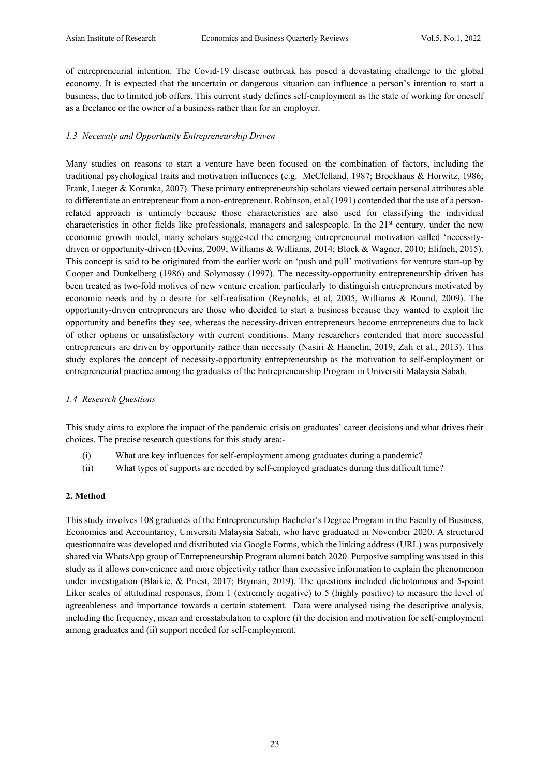of entrepreneurial intention. The Covid-19 disease outbreak has posed a devastating challenge to the global economy. It is expected that the uncertain or dangerous situation can influence a person's intention to start a business, due to limited job offers. This current study defines self-employment as the state of working for oneself as a freelance or the owner of a business rather than for an employer.

#### *1.3 Necessity and Opportunity Entrepreneurship Driven*

Many studies on reasons to start a venture have been focused on the combination of factors, including the traditional psychological traits and motivation influences (e.g. McClelland, 1987; Brockhaus & Horwitz, 1986; Frank, Lueger & Korunka, 2007). These primary entrepreneurship scholars viewed certain personal attributes able to differentiate an entrepreneur from a non-entrepreneur. Robinson, et al (1991) contended that the use of a personrelated approach is untimely because those characteristics are also used for classifying the individual characteristics in other fields like professionals, managers and salespeople. In the  $21<sup>st</sup>$  century, under the new economic growth model, many scholars suggested the emerging entrepreneurial motivation called 'necessitydriven or opportunity-driven (Devins, 2009; Williams & Williams, 2014; Block & Wagner, 2010; Elifneh, 2015). This concept is said to be originated from the earlier work on 'push and pull' motivations for venture start-up by Cooper and Dunkelberg (1986) and Solymossy (1997). The necessity-opportunity entrepreneurship driven has been treated as two-fold motives of new venture creation, particularly to distinguish entrepreneurs motivated by economic needs and by a desire for self-realisation (Reynolds, et al, 2005, Williams & Round, 2009). The opportunity-driven entrepreneurs are those who decided to start a business because they wanted to exploit the opportunity and benefits they see, whereas the necessity-driven entrepreneurs become entrepreneurs due to lack of other options or unsatisfactory with current conditions. Many researchers contended that more successful entrepreneurs are driven by opportunity rather than necessity (Nasiri & Hamelin, 2019; Zali et al., 2013). This study explores the concept of necessity-opportunity entrepreneurship as the motivation to self-employment or entrepreneurial practice among the graduates of the Entrepreneurship Program in Universiti Malaysia Sabah.

#### *1.4 Research Questions*

This study aims to explore the impact of the pandemic crisis on graduates' career decisions and what drives their choices. The precise research questions for this study area:-

- (i) What are key influences for self-employment among graduates during a pandemic?
- (ii) What types of supports are needed by self-employed graduates during this difficult time?

#### **2. Method**

This study involves 108 graduates of the Entrepreneurship Bachelor's Degree Program in the Faculty of Business, Economics and Accountancy, Universiti Malaysia Sabah, who have graduated in November 2020. A structured questionnaire was developed and distributed via Google Forms, which the linking address (URL) was purposively shared via WhatsApp group of Entrepreneurship Program alumni batch 2020. Purposive sampling was used in this study as it allows convenience and more objectivity rather than excessive information to explain the phenomenon under investigation (Blaikie, & Priest, 2017; Bryman, 2019). The questions included dichotomous and 5-point Liker scales of attitudinal responses, from 1 (extremely negative) to 5 (highly positive) to measure the level of agreeableness and importance towards a certain statement. Data were analysed using the descriptive analysis, including the frequency, mean and crosstabulation to explore (i) the decision and motivation for self-employment among graduates and (ii) support needed for self-employment.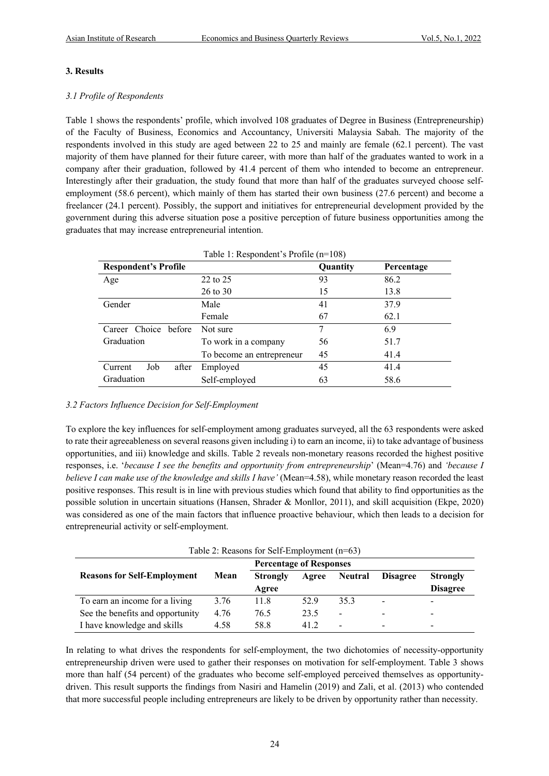## **3. Results**

## *3.1 Profile of Respondents*

Table 1 shows the respondents' profile, which involved 108 graduates of Degree in Business (Entrepreneurship) of the Faculty of Business, Economics and Accountancy, Universiti Malaysia Sabah. The majority of the respondents involved in this study are aged between 22 to 25 and mainly are female (62.1 percent). The vast majority of them have planned for their future career, with more than half of the graduates wanted to work in a company after their graduation, followed by 41.4 percent of them who intended to become an entrepreneur. Interestingly after their graduation, the study found that more than half of the graduates surveyed choose selfemployment (58.6 percent), which mainly of them has started their own business (27.6 percent) and become a freelancer (24.1 percent). Possibly, the support and initiatives for entrepreneurial development provided by the government during this adverse situation pose a positive perception of future business opportunities among the graduates that may increase entrepreneurial intention.

| <b>Respondent's Profile</b> |                           | Quantity | Percentage |  |
|-----------------------------|---------------------------|----------|------------|--|
| Age                         | 22 to 25                  | 93       | 86.2       |  |
|                             | $26$ to $30$              | 15       | 13.8       |  |
| Gender                      | Male                      | 41       | 37.9       |  |
|                             | Female                    | 67       | 62.1       |  |
| Career Choice before        | Not sure                  |          | 6.9        |  |
| Graduation                  | To work in a company      | 56       | 51.7       |  |
|                             | To become an entrepreneur | 45       | 41.4       |  |
| Job<br>Current<br>after     | Employed                  | 45       | 41.4       |  |
| Graduation                  | Self-employed             | 63       | 58.6       |  |

# *3.2 Factors Influence Decision for Self-Employment*

To explore the key influences for self-employment among graduates surveyed, all the 63 respondents were asked to rate their agreeableness on several reasons given including i) to earn an income, ii) to take advantage of business opportunities, and iii) knowledge and skills. Table 2 reveals non-monetary reasons recorded the highest positive responses, i.e. '*because I see the benefits and opportunity from entrepreneurship*' (Mean=4.76) and *'because I believe I can make use of the knowledge and skills I have'* (Mean=4.58), while monetary reason recorded the least positive responses. This result is in line with previous studies which found that ability to find opportunities as the possible solution in uncertain situations (Hansen, Shrader & Monllor, 2011), and skill acquisition (Ekpe, 2020) was considered as one of the main factors that influence proactive behaviour, which then leads to a decision for entrepreneurial activity or self-employment.

|  |  | Table 2: Reasons for Self-Employment (n=63) |  |
|--|--|---------------------------------------------|--|
|  |  |                                             |  |

|                                    |      | <b>Percentage of Responses</b> |       |                 |                          |                 |
|------------------------------------|------|--------------------------------|-------|-----------------|--------------------------|-----------------|
| <b>Reasons for Self-Employment</b> | Mean | <b>Strongly</b>                | Agree | <b>Neutral</b>  | <b>Disagree</b>          | <b>Strongly</b> |
|                                    |      | Agree                          |       |                 |                          | <b>Disagree</b> |
| To earn an income for a living     | 3.76 | 11.8                           | 52.9  | 35.3            | -                        | -               |
| See the benefits and opportunity   | 4.76 | 76.5                           | 23.5  | $\qquad \qquad$ | $\overline{\phantom{a}}$ | -               |
| I have knowledge and skills        | 4.58 | 58.8                           | 41.2  | -               | -                        | -               |

In relating to what drives the respondents for self-employment, the two dichotomies of necessity-opportunity entrepreneurship driven were used to gather their responses on motivation for self-employment. Table 3 shows more than half (54 percent) of the graduates who become self-employed perceived themselves as opportunitydriven. This result supports the findings from Nasiri and Hamelin (2019) and Zali, et al. (2013) who contended that more successful people including entrepreneurs are likely to be driven by opportunity rather than necessity.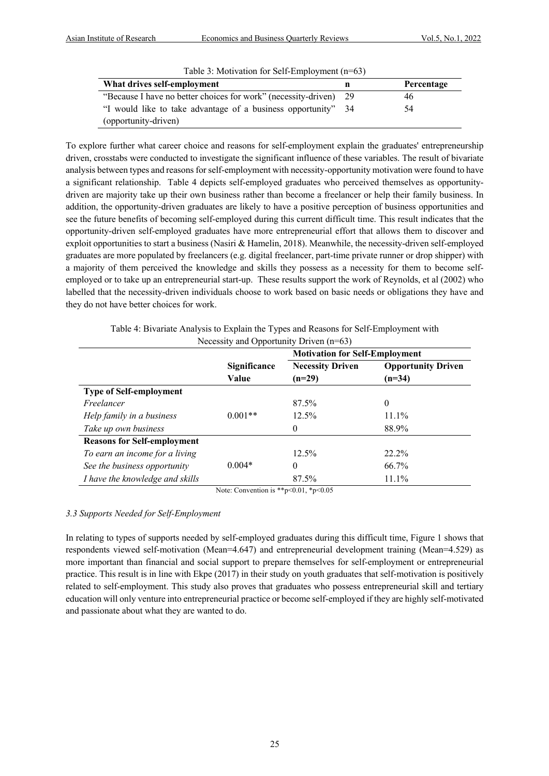| Table 3: Motivation for Self-Employment $(n=63)$                  |     |            |  |  |
|-------------------------------------------------------------------|-----|------------|--|--|
| What drives self-employment                                       |     | Percentage |  |  |
| "Because I have no better choices for work" (necessity-driven) 29 |     | 46         |  |  |
| "I would like to take advantage of a business opportunity"        | -34 | 54         |  |  |
| (opportunity-driven)                                              |     |            |  |  |

To explore further what career choice and reasons for self-employment explain the graduates' entrepreneurship driven, crosstabs were conducted to investigate the significant influence of these variables. The result of bivariate analysis between types and reasons for self-employment with necessity-opportunity motivation were found to have a significant relationship. Table 4 depicts self-employed graduates who perceived themselves as opportunitydriven are majority take up their own business rather than become a freelancer or help their family business. In addition, the opportunity-driven graduates are likely to have a positive perception of business opportunities and see the future benefits of becoming self-employed during this current difficult time. This result indicates that the opportunity-driven self-employed graduates have more entrepreneurial effort that allows them to discover and exploit opportunities to start a business (Nasiri & Hamelin, 2018). Meanwhile, the necessity-driven self-employed graduates are more populated by freelancers (e.g. digital freelancer, part-time private runner or drop shipper) with a majority of them perceived the knowledge and skills they possess as a necessity for them to become selfemployed or to take up an entrepreneurial start-up. These results support the work of Reynolds, et al (2002) who labelled that the necessity-driven individuals choose to work based on basic needs or obligations they have and they do not have better choices for work.

> Table 4: Bivariate Analysis to Explain the Types and Reasons for Self-Employment with Necessity and Opportunity Driven (n=63)

|                                    |                     | <b>Motivation for Self-Employment</b> |                           |  |  |
|------------------------------------|---------------------|---------------------------------------|---------------------------|--|--|
|                                    | <b>Significance</b> | <b>Necessity Driven</b>               | <b>Opportunity Driven</b> |  |  |
|                                    | Value               | $(n=29)$                              | $(n=34)$                  |  |  |
| <b>Type of Self-employment</b>     |                     |                                       |                           |  |  |
| Freelancer                         |                     | 87.5%                                 | $\theta$                  |  |  |
| Help family in a business          | $0.001**$           | $12.5\%$                              | 11.1%                     |  |  |
| Take up own business               |                     | $\theta$                              | 88.9%                     |  |  |
| <b>Reasons for Self-employment</b> |                     |                                       |                           |  |  |
| To earn an income for a living     |                     | 12.5%                                 | 22.2%                     |  |  |
| See the business opportunity       | $0.004*$            | $\Omega$                              | 66.7%                     |  |  |
| I have the knowledge and skills    |                     | 87.5%                                 | 11.1%                     |  |  |

Note: Convention is \*\*p<0.01, \*p<0.05

# *3.3 Supports Needed for Self-Employment*

In relating to types of supports needed by self-employed graduates during this difficult time, Figure 1 shows that respondents viewed self-motivation (Mean=4.647) and entrepreneurial development training (Mean=4.529) as more important than financial and social support to prepare themselves for self-employment or entrepreneurial practice. This result is in line with Ekpe (2017) in their study on youth graduates that self-motivation is positively related to self-employment. This study also proves that graduates who possess entrepreneurial skill and tertiary education will only venture into entrepreneurial practice or become self-employed if they are highly self-motivated and passionate about what they are wanted to do.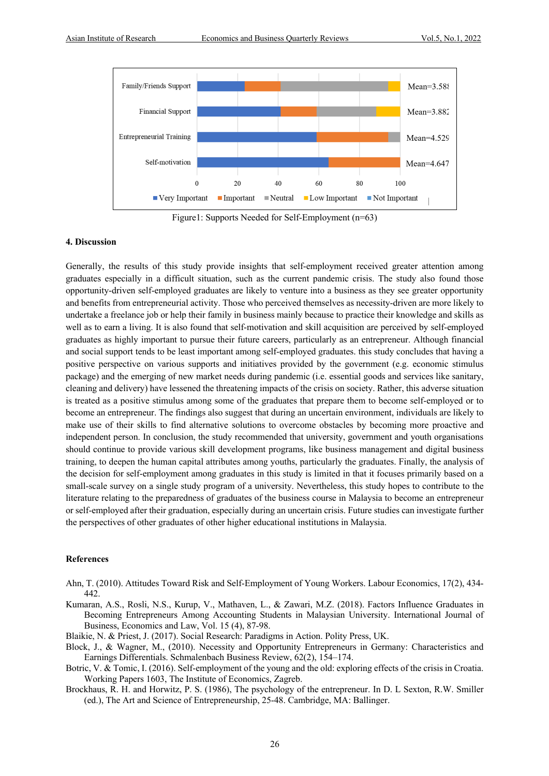

Figure1: Supports Needed for Self-Employment (n=63)

#### **4. Discussion**

Generally, the results of this study provide insights that self-employment received greater attention among graduates especially in a difficult situation, such as the current pandemic crisis. The study also found those opportunity-driven self-employed graduates are likely to venture into a business as they see greater opportunity and benefits from entrepreneurial activity. Those who perceived themselves as necessity-driven are more likely to undertake a freelance job or help their family in business mainly because to practice their knowledge and skills as well as to earn a living. It is also found that self-motivation and skill acquisition are perceived by self-employed graduates as highly important to pursue their future careers, particularly as an entrepreneur. Although financial and social support tends to be least important among self-employed graduates. this study concludes that having a positive perspective on various supports and initiatives provided by the government (e.g. economic stimulus package) and the emerging of new market needs during pandemic (i.e. essential goods and services like sanitary, cleaning and delivery) have lessened the threatening impacts of the crisis on society. Rather, this adverse situation is treated as a positive stimulus among some of the graduates that prepare them to become self-employed or to become an entrepreneur. The findings also suggest that during an uncertain environment, individuals are likely to make use of their skills to find alternative solutions to overcome obstacles by becoming more proactive and independent person. In conclusion, the study recommended that university, government and youth organisations should continue to provide various skill development programs, like business management and digital business training, to deepen the human capital attributes among youths, particularly the graduates. Finally, the analysis of the decision for self-employment among graduates in this study is limited in that it focuses primarily based on a small-scale survey on a single study program of a university. Nevertheless, this study hopes to contribute to the literature relating to the preparedness of graduates of the business course in Malaysia to become an entrepreneur or self-employed after their graduation, especially during an uncertain crisis. Future studies can investigate further the perspectives of other graduates of other higher educational institutions in Malaysia.

#### **References**

- Ahn, T. (2010). Attitudes Toward Risk and Self-Employment of Young Workers. Labour Economics, 17(2), 434- 442.
- Kumaran, A.S., Rosli, N.S., Kurup, V., Mathaven, L., & Zawari, M.Z. (2018). Factors Influence Graduates in Becoming Entrepreneurs Among Accounting Students in Malaysian University. International Journal of Business, Economics and Law, Vol. 15 (4), 87-98.

Blaikie, N. & Priest, J. (2017). Social Research: Paradigms in Action. Polity Press, UK.

- Block, J., & Wagner, M., (2010). Necessity and Opportunity Entrepreneurs in Germany: Characteristics and Earnings Differentials. Schmalenbach Business Review, 62(2), 154–174.
- Botric, V. & Tomic, I. (2016). Self-employment of the young and the old: exploring effects of the crisis in Croatia. Working Papers 1603, The Institute of Economics, Zagreb.
- Brockhaus, R. H. and Horwitz, P. S. (1986), The psychology of the entrepreneur. In D. L Sexton, R.W. Smiller (ed.), The Art and Science of Entrepreneurship, 25-48. Cambridge, MA: Ballinger.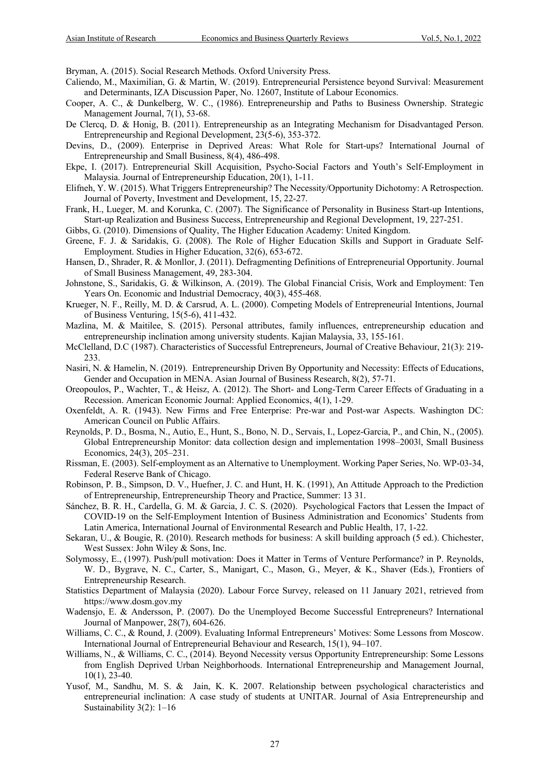Bryman, A. (2015). Social Research Methods. Oxford University Press.

- Caliendo, M., Maximilian, G. & Martin, W. (2019). Entrepreneurial Persistence beyond Survival: Measurement and Determinants, IZA Discussion Paper, No. 12607, Institute of Labour Economics.
- Cooper, A. C., & Dunkelberg, W. C., (1986). Entrepreneurship and Paths to Business Ownership. Strategic Management Journal, 7(1), 53-68.
- De Clercq, D. & Honig, B. (2011). Entrepreneurship as an Integrating Mechanism for Disadvantaged Person. Entrepreneurship and Regional Development, 23(5-6), 353-372.
- Devins, D., (2009). Enterprise in Deprived Areas: What Role for Start-ups? International Journal of Entrepreneurship and Small Business, 8(4), 486-498.
- Ekpe, I. (2017). Entrepreneurial Skill Acquisition, Psycho-Social Factors and Youth's Self-Employment in Malaysia. Journal of Entrepreneurship Education, 20(1), 1-11.
- Elifneh, Y. W. (2015). What Triggers Entrepreneurship? The Necessity/Opportunity Dichotomy: A Retrospection. Journal of Poverty, Investment and Development, 15, 22-27.
- Frank, H., Lueger, M. and Korunka, C. (2007). The Significance of Personality in Business Start-up Intentions, Start-up Realization and Business Success, Entrepreneurship and Regional Development, 19, 227-251.

Gibbs, G. (2010). Dimensions of Quality, The Higher Education Academy: United Kingdom.

- Greene, F. J. & Saridakis, G. (2008). The Role of Higher Education Skills and Support in Graduate Self-Employment. Studies in Higher Education, 32(6), 653-672.
- Hansen, D., Shrader, R. & Monllor, J. (2011). Defragmenting Definitions of Entrepreneurial Opportunity. Journal of Small Business Management, 49, 283-304.
- Johnstone, S., Saridakis, G. & Wilkinson, A. (2019). The Global Financial Crisis, Work and Employment: Ten Years On. Economic and Industrial Democracy, 40(3), 455-468.
- Krueger, N. F., Reilly, M. D. & Carsrud, A. L. (2000). Competing Models of Entrepreneurial Intentions, Journal of Business Venturing, 15(5-6), 411-432.
- Mazlina, M. & Maitilee, S. (2015). Personal attributes, family influences, entrepreneurship education and entrepreneurship inclination among university students. Kajian Malaysia, 33, 155-161.
- McClelland, D.C (1987). Characteristics of Successful Entrepreneurs, Journal of Creative Behaviour, 21(3): 219- 233.
- Nasiri, N. & Hamelin, N. (2019). Entrepreneurship Driven By Opportunity and Necessity: Effects of Educations, Gender and Occupation in MENA. Asian Journal of Business Research, 8(2), 57-71.
- Oreopoulos, P., Wachter, T., & Heisz, A. (2012). The Short- and Long-Term Career Effects of Graduating in a Recession. American Economic Journal: Applied Economics, 4(1), 1-29.
- Oxenfeldt, A. R. (1943). New Firms and Free Enterprise: Pre-war and Post-war Aspects. Washington DC: American Council on Public Affairs.
- Reynolds, P. D., Bosma, N., Autio, E., Hunt, S., Bono, N. D., Servais, I., Lopez-Garcia, P., and Chin, N., (2005). Global Entrepreneurship Monitor: data collection design and implementation 1998–2003ǁ, Small Business Economics, 24(3), 205–231.
- Rissman, E. (2003). Self-employment as an Alternative to Unemployment. Working Paper Series, No. WP-03-34, Federal Reserve Bank of Chicago.
- Robinson, P. B., Simpson, D. V., Huefner, J. C. and Hunt, H. K. (1991), An Attitude Approach to the Prediction of Entrepreneurship, Entrepreneurship Theory and Practice, Summer: 13 31.
- Sánchez, B. R. H., Cardella, G. M. & Garcia, J. C. S. (2020). Psychological Factors that Lessen the Impact of COVID-19 on the Self-Employment Intention of Business Administration and Economics' Students from Latin America, International Journal of Environmental Research and Public Health, 17, 1-22.
- Sekaran, U., & Bougie, R. (2010). Research methods for business: A skill building approach (5 ed.). Chichester, West Sussex: John Wiley & Sons, Inc.
- Solymossy, E., (1997). Push/pull motivation: Does it Matter in Terms of Venture Performance? in P. Reynolds, W. D., Bygrave, N. C., Carter, S., Manigart, C., Mason, G., Meyer, & K., Shaver (Eds.), Frontiers of Entrepreneurship Research.
- Statistics Department of Malaysia (2020). Labour Force Survey, released on 11 January 2021, retrieved from https://www.dosm.gov.my
- Wadensjo, E. & Andersson, P. (2007). Do the Unemployed Become Successful Entrepreneurs? International Journal of Manpower, 28(7), 604-626.
- Williams, C. C., & Round, J. (2009). Evaluating Informal Entrepreneurs' Motives: Some Lessons from Moscow. International Journal of Entrepreneurial Behaviour and Research, 15(1), 94–107.
- Williams, N., & Williams, C. C., (2014). Beyond Necessity versus Opportunity Entrepreneurship: Some Lessons from English Deprived Urban Neighborhoods. International Entrepreneurship and Management Journal, 10(1), 23-40.
- Yusof, M., Sandhu, M. S. & Jain, K. K. 2007. Relationship between psychological characteristics and entrepreneurial inclination: A case study of students at UNITAR. Journal of Asia Entrepreneurship and Sustainability 3(2): 1–16